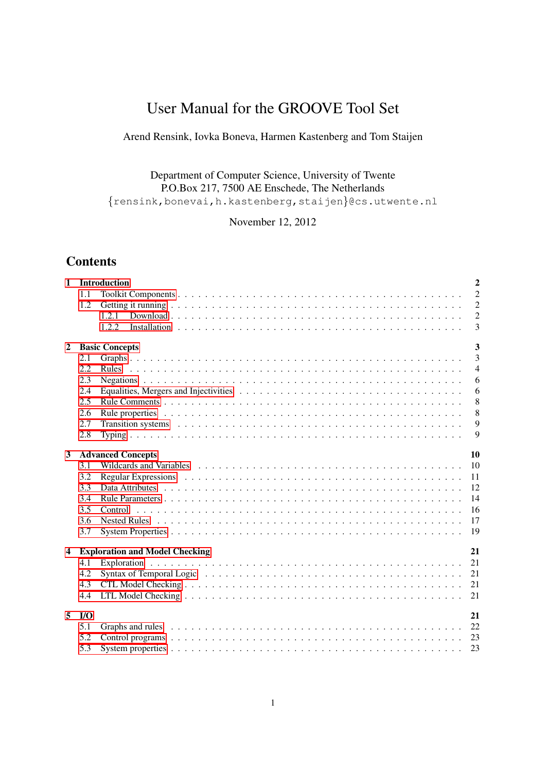# User Manual for the GROOVE Tool Set

# Arend Rensink, Iovka Boneva, Harmen Kastenberg and Tom Staijen

# Department of Computer Science, University of Twente P.O.Box 217, 7500 AE Enschede, The Netherlands {rensink,bonevai,h.kastenberg,staijen}@cs.utwente.nl

November 12, 2012

# **Contents**

| $\mathbf{1}$   |                       | $\overline{2}$<br><b>Introduction</b>                                                                                                                                                                                                       |  |  |  |  |
|----------------|-----------------------|---------------------------------------------------------------------------------------------------------------------------------------------------------------------------------------------------------------------------------------------|--|--|--|--|
|                | 1.1                   | $\overline{2}$                                                                                                                                                                                                                              |  |  |  |  |
|                | 1.2                   | $\overline{c}$                                                                                                                                                                                                                              |  |  |  |  |
|                |                       | $\overline{c}$<br>1.2.1                                                                                                                                                                                                                     |  |  |  |  |
|                |                       | $\overline{3}$<br>1.2.2                                                                                                                                                                                                                     |  |  |  |  |
| $\overline{2}$ | <b>Basic Concepts</b> |                                                                                                                                                                                                                                             |  |  |  |  |
|                | 2.1                   | $\overline{3}$                                                                                                                                                                                                                              |  |  |  |  |
|                | 2.2                   | $\overline{4}$                                                                                                                                                                                                                              |  |  |  |  |
|                | 2.3                   | 6                                                                                                                                                                                                                                           |  |  |  |  |
|                | 2.4                   | 6                                                                                                                                                                                                                                           |  |  |  |  |
|                | 2.5                   | 8                                                                                                                                                                                                                                           |  |  |  |  |
|                | 2.6                   | 8                                                                                                                                                                                                                                           |  |  |  |  |
|                | 2.7                   | 9<br>Transition systems enterpreteration of the contract of the contract of the contract of the contract of the contract of the contract of the contract of the contract of the contract of the contract of the contract of the con         |  |  |  |  |
|                | 2.8                   | 9                                                                                                                                                                                                                                           |  |  |  |  |
| 3              |                       | 10<br><b>Advanced Concepts</b>                                                                                                                                                                                                              |  |  |  |  |
|                | 3.1                   | 10                                                                                                                                                                                                                                          |  |  |  |  |
|                | 3.2                   | Regular Expressions (a) respectively and the contract of the contract of the contract of the contract of the contract of the contract of the contract of the contract of the contract of the contract of the contract of the c<br><b>11</b> |  |  |  |  |
|                | 3.3                   | 12                                                                                                                                                                                                                                          |  |  |  |  |
|                | 3.4                   | 14                                                                                                                                                                                                                                          |  |  |  |  |
|                | 3.5                   | 16                                                                                                                                                                                                                                          |  |  |  |  |
|                | 3.6                   | 17                                                                                                                                                                                                                                          |  |  |  |  |
|                | 3.7                   | 19                                                                                                                                                                                                                                          |  |  |  |  |
| 4              |                       | 21<br><b>Exploration and Model Checking</b>                                                                                                                                                                                                 |  |  |  |  |
|                | 4.1                   | 21                                                                                                                                                                                                                                          |  |  |  |  |
|                | 4.2                   | 21<br>Syntax of Temporal Logic $\ldots \ldots \ldots \ldots \ldots \ldots \ldots \ldots \ldots \ldots \ldots \ldots \ldots$                                                                                                                 |  |  |  |  |
|                | 4.3                   | 21                                                                                                                                                                                                                                          |  |  |  |  |
|                | 4.4                   | 21                                                                                                                                                                                                                                          |  |  |  |  |
| 5              | $U$                   | 21                                                                                                                                                                                                                                          |  |  |  |  |
|                | 5.1                   | - 22                                                                                                                                                                                                                                        |  |  |  |  |
|                | 5.2                   | - 23                                                                                                                                                                                                                                        |  |  |  |  |
|                | 5.3                   | 23                                                                                                                                                                                                                                          |  |  |  |  |
|                |                       |                                                                                                                                                                                                                                             |  |  |  |  |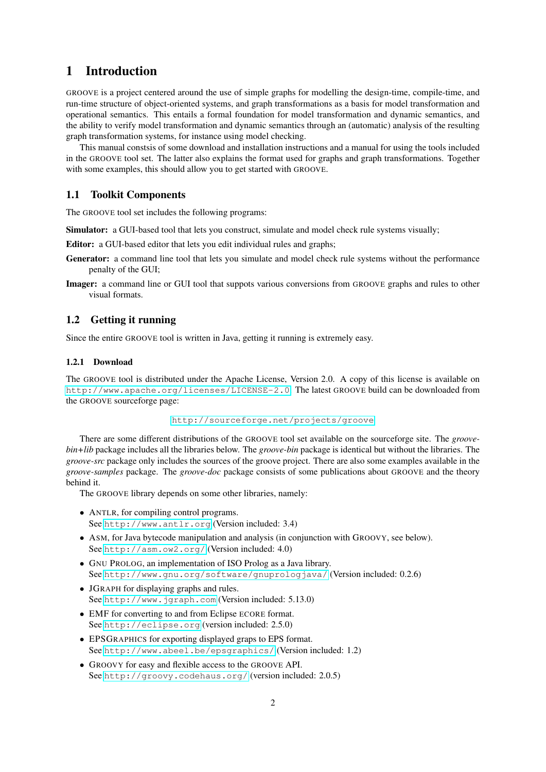# <span id="page-1-0"></span>1 Introduction

GROOVE is a project centered around the use of simple graphs for modelling the design-time, compile-time, and run-time structure of object-oriented systems, and graph transformations as a basis for model transformation and operational semantics. This entails a formal foundation for model transformation and dynamic semantics, and the ability to verify model transformation and dynamic semantics through an (automatic) analysis of the resulting graph transformation systems, for instance using model checking.

This manual constsis of some download and installation instructions and a manual for using the tools included in the GROOVE tool set. The latter also explains the format used for graphs and graph transformations. Together with some examples, this should allow you to get started with GROOVE.

#### <span id="page-1-1"></span>1.1 Toolkit Components

The GROOVE tool set includes the following programs:

Simulator: a GUI-based tool that lets you construct, simulate and model check rule systems visually;

Editor: a GUI-based editor that lets you edit individual rules and graphs;

- Generator: a command line tool that lets you simulate and model check rule systems without the performance penalty of the GUI;
- Imager: a command line or GUI tool that suppots various conversions from GROOVE graphs and rules to other visual formats.

# <span id="page-1-2"></span>1.2 Getting it running

Since the entire GROOVE tool is written in Java, getting it running is extremely easy.

#### <span id="page-1-3"></span>1.2.1 Download

The GROOVE tool is distributed under the Apache License, Version 2.0. A copy of this license is available on <http://www.apache.org/licenses/LICENSE-2.0>. The latest GROOVE build can be downloaded from the GROOVE sourceforge page:

```
http://sourceforge.net/projects/groove
```
There are some different distributions of the GROOVE tool set available on the sourceforge site. The *groovebin+lib* package includes all the libraries below. The *groove-bin* package is identical but without the libraries. The *groove-src* package only includes the sources of the groove project. There are also some examples available in the *groove-samples* package. The *groove-doc* package consists of some publications about GROOVE and the theory behind it.

The GROOVE library depends on some other libraries, namely:

- ANTLR, for compiling control programs. See <http://www.antlr.org> (Version included: 3.4)
- ASM, for Java bytecode manipulation and analysis (in conjunction with GROOVY, see below). See <http://asm.ow2.org/> (Version included: 4.0)
- GNU PROLOG, an implementation of ISO Prolog as a Java library. See <http://www.gnu.org/software/gnuprologjava/> (Version included: 0.2.6)
- JGRAPH for displaying graphs and rules. See <http://www.jgraph.com> (Version included: 5.13.0)
- EMF for converting to and from Eclipse ECORE format. See <http://eclipse.org> (version included: 2.5.0)
- EPSGRAPHICS for exporting displayed graps to EPS format. See <http://www.abeel.be/epsgraphics/> (Version included: 1.2)
- GROOVY for easy and flexible access to the GROOVE API. See <http://groovy.codehaus.org/> (version included: 2.0.5)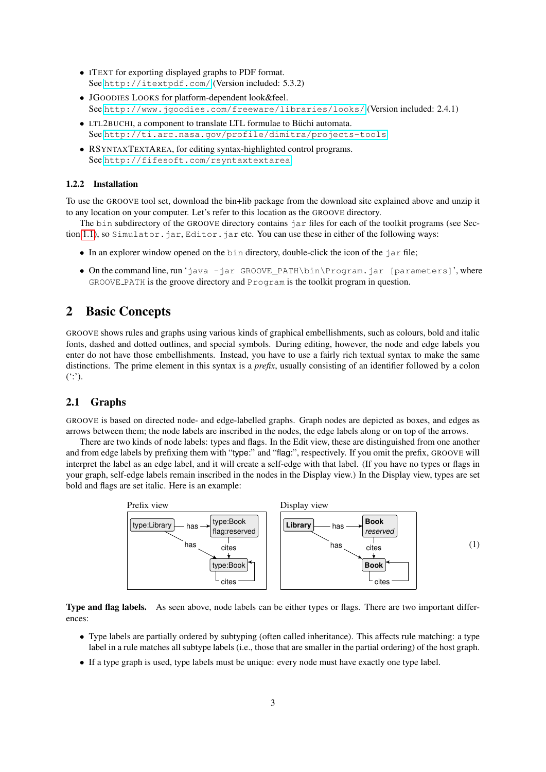- ITEXT for exporting displayed graphs to PDF format. See <http://itextpdf.com/> (Version included: 5.3.2)
- JGOODIES LOOKS for platform-dependent look&feel. See <http://www.jgoodies.com/freeware/libraries/looks/> (Version included: 2.4.1)
- LTL2BUCHI, a component to translate LTL formulae to Büchi automata. See <http://ti.arc.nasa.gov/profile/dimitra/projects-tools>
- RSYNTAXTEXTAREA, for editing syntax-highlighted control programs. See <http://fifesoft.com/rsyntaxtextarea>

#### <span id="page-2-0"></span>1.2.2 Installation

To use the GROOVE tool set, download the bin+lib package from the download site explained above and unzip it to any location on your computer. Let's refer to this location as the GROOVE directory.

The bin subdirectory of the GROOVE directory contains  $\exists$  ar files for each of the toolkit programs (see Sec-tion [1.1\)](#page-1-1), so Simulator.jar, Editor.jar etc. You can use these in either of the following ways:

- In an explorer window opened on the bin directory, double-click the icon of the jar file;
- On the command line, run 'java -jar GROOVE\_PATH\bin\Program.jar [parameters]', where GROOVE PATH is the groove directory and Program is the toolkit program in question.

# <span id="page-2-1"></span>2 Basic Concepts

GROOVE shows rules and graphs using various kinds of graphical embellishments, such as colours, bold and italic fonts, dashed and dotted outlines, and special symbols. During editing, however, the node and edge labels you enter do not have those embellishments. Instead, you have to use a fairly rich textual syntax to make the same distinctions. The prime element in this syntax is a *prefix*, usually consisting of an identifier followed by a colon  $($ .'').

#### <span id="page-2-2"></span>2.1 Graphs

GROOVE is based on directed node- and edge-labelled graphs. Graph nodes are depicted as boxes, and edges as arrows between them; the node labels are inscribed in the nodes, the edge labels along or on top of the arrows.

There are two kinds of node labels: types and flags. In the Edit view, these are distinguished from one another and from edge labels by prefixing them with "type:" and "flag:", respectively. If you omit the prefix, GROOVE will interpret the label as an edge label, and it will create a self-edge with that label. (If you have no types or flags in your graph, self-edge labels remain inscribed in the nodes in the Display view.) In the Display view, types are set bold and flags are set italic. Here is an example:



Type and flag labels. As seen above, node labels can be either types or flags. There are two important differences:

- Type labels are partially ordered by subtyping (often called inheritance). This affects rule matching: a type label in a rule matches all subtype labels (i.e., those that are smaller in the partial ordering) of the host graph.
- If a type graph is used, type labels must be unique: every node must have exactly one type label.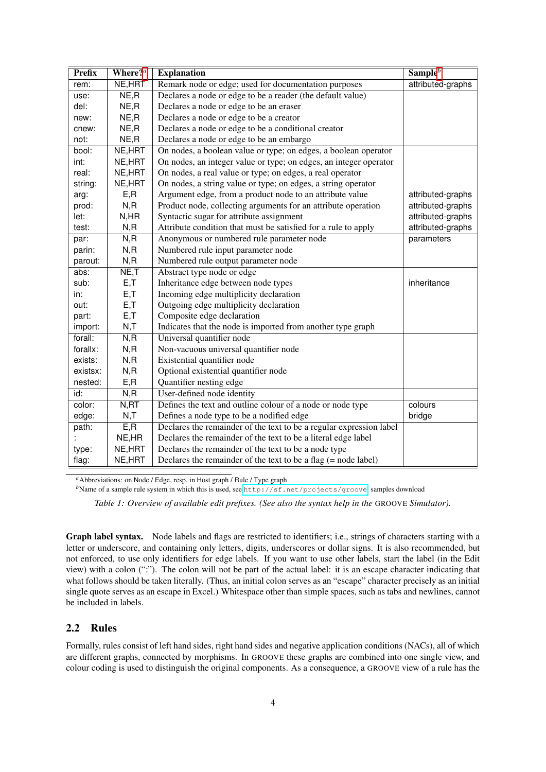| <b>Prefix</b> | Where? $a$ | <b>Explanation</b>                                                  | $Sampleb$         |
|---------------|------------|---------------------------------------------------------------------|-------------------|
| rem:          | NE, HRT    | Remark node or edge; used for documentation purposes                | attributed-graphs |
| use:          | NE, R      | Declares a node or edge to be a reader (the default value)          |                   |
| del:          | NE, R      | Declares a node or edge to be an eraser                             |                   |
| new:          | NE,R       | Declares a node or edge to be a creator                             |                   |
| cnew:         | NE,R       | Declares a node or edge to be a conditional creator                 |                   |
| not:          | NE,R       | Declares a node or edge to be an embargo                            |                   |
| bool:         | NE, HRT    | On nodes, a boolean value or type; on edges, a boolean operator     |                   |
| int:          | NE, HRT    | On nodes, an integer value or type; on edges, an integer operator   |                   |
| real:         | NE, HRT    | On nodes, a real value or type; on edges, a real operator           |                   |
| string:       | NE, HRT    | On nodes, a string value or type; on edges, a string operator       |                   |
| arg:          | E, R       | Argument edge, from a product node to an attribute value            | attributed-graphs |
| prod:         | N, R       | Product node, collecting arguments for an attribute operation       | attributed-graphs |
| let:          | N, HR      | Syntactic sugar for attribute assignment                            | attributed-graphs |
| test:         | N, R       | Attribute condition that must be satisfied for a rule to apply      | attributed-graphs |
| par:          | N, R       | Anonymous or numbered rule parameter node                           | parameters        |
| parin:        | N, R       | Numbered rule input parameter node                                  |                   |
| parout:       | N, R       | Numbered rule output parameter node                                 |                   |
| abs:          | NE, T      | Abstract type node or edge                                          |                   |
| sub:          | E, T       | Inheritance edge between node types                                 | inheritance       |
| in:           | E, T       | Incoming edge multiplicity declaration                              |                   |
| out:          | E, T       | Outgoing edge multiplicity declaration                              |                   |
| part:         | E, T       | Composite edge declaration                                          |                   |
| import:       | N, T       | Indicates that the node is imported from another type graph         |                   |
| forall:       | N, R       | Universal quantifier node                                           |                   |
| forallx:      | N, R       | Non-vacuous universal quantifier node                               |                   |
| exists:       | N, R       | Existential quantifier node                                         |                   |
| existsx:      | N, R       | Optional existential quantifier node                                |                   |
| nested:       | E, R       | Quantifier nesting edge                                             |                   |
| id:           | N, R       | User-defined node identity                                          |                   |
| color:        | N, RT      | Defines the text and outline colour of a node or node type          | colours           |
| edge:         | N, T       | Defines a node type to be a nodified edge                           | bridge            |
| path:         | E, R       | Declares the remainder of the text to be a regular expression label |                   |
|               | NE, HR     | Declares the remainder of the text to be a literal edge label       |                   |
| type:         | NE, HRT    | Declares the remainder of the text to be a node type                |                   |
| flag:         | NE, HRT    | Declares the remainder of the text to be a flag $(=$ node label)    |                   |

<span id="page-3-1"></span>*<sup>a</sup>*Abbreviations: on Node / Edge, resp. in Host graph / Rule / Type graph

<span id="page-3-2"></span>*b*Name of a sample rule system in which this is used, see <http://sf.net/projects/groove>, samples download

*Table 1: Overview of available edit prefixes. (See also the syntax help in the GROOVE Simulator).* 

Graph label syntax. Node labels and flags are restricted to identifiers; i.e., strings of characters starting with a letter or underscore, and containing only letters, digits, underscores or dollar signs. It is also recommended, but not enforced, to use only identifiers for edge labels. If you want to use other labels, start the label (in the Edit view) with a colon (":"). The colon will not be part of the actual label: it is an escape character indicating that what follows should be taken literally. (Thus, an initial colon serves as an "escape" character precisely as an initial single quote serves as an escape in Excel.) Whitespace other than simple spaces, such as tabs and newlines, cannot be included in labels.

## <span id="page-3-0"></span>2.2 Rules

Formally, rules consist of left hand sides, right hand sides and negative application conditions (NACs), all of which are different graphs, connected by morphisms. In GROOVE these graphs are combined into one single view, and colour coding is used to distinguish the original components. As a consequence, a GROOVE view of a rule has the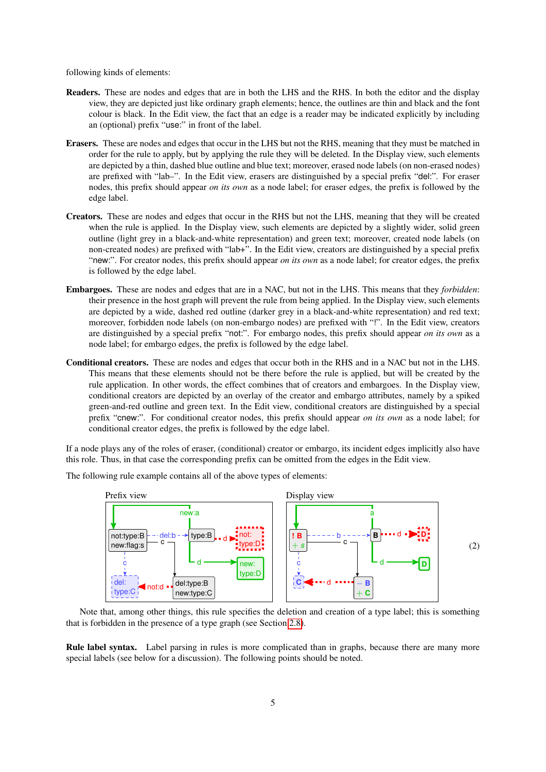following kinds of elements:

- Readers. These are nodes and edges that are in both the LHS and the RHS. In both the editor and the display view, they are depicted just like ordinary graph elements; hence, the outlines are thin and black and the font colour is black. In the Edit view, the fact that an edge is a reader may be indicated explicitly by including an (optional) prefix "use:" in front of the label.
- Erasers. These are nodes and edges that occur in the LHS but not the RHS, meaning that they must be matched in order for the rule to apply, but by applying the rule they will be deleted. In the Display view, such elements are depicted by a thin, dashed blue outline and blue text; moreover, erased node labels (on non-erased nodes) are prefixed with "lab–". In the Edit view, erasers are distinguished by a special prefix "del:". For eraser nodes, this prefix should appear *on its own* as a node label; for eraser edges, the prefix is followed by the edge label.
- Creators. These are nodes and edges that occur in the RHS but not the LHS, meaning that they will be created when the rule is applied. In the Display view, such elements are depicted by a slightly wider, solid green outline (light grey in a black-and-white representation) and green text; moreover, created node labels (on non-created nodes) are prefixed with "lab+". In the Edit view, creators are distinguished by a special prefix "new:". For creator nodes, this prefix should appear *on its own* as a node label; for creator edges, the prefix is followed by the edge label.
- Embargoes. These are nodes and edges that are in a NAC, but not in the LHS. This means that they *forbidden*: their presence in the host graph will prevent the rule from being applied. In the Display view, such elements are depicted by a wide, dashed red outline (darker grey in a black-and-white representation) and red text; moreover, forbidden node labels (on non-embargo nodes) are prefixed with "!". In the Edit view, creators are distinguished by a special prefix "not:". For embargo nodes, this prefix should appear *on its own* as a node label; for embargo edges, the prefix is followed by the edge label.
- Conditional creators. These are nodes and edges that occur both in the RHS and in a NAC but not in the LHS. This means that these elements should not be there before the rule is applied, but will be created by the rule application. In other words, the effect combines that of creators and embargoes. In the Display view, conditional creators are depicted by an overlay of the creator and embargo attributes, namely by a spiked green-and-red outline and green text. In the Edit view, conditional creators are distinguished by a special prefix "cnew:". For conditional creator nodes, this prefix should appear *on its own* as a node label; for conditional creator edges, the prefix is followed by the edge label.

If a node plays any of the roles of eraser, (conditional) creator or embargo, its incident edges implicitly also have this role. Thus, in that case the corresponding prefix can be omitted from the edges in the Edit view.



The following rule example contains all of the above types of elements:

Note that, among other things, this rule specifies the deletion and creation of a type label; this is something that is forbidden in the presence of a type graph (see Section [2.8\)](#page-8-1).

Rule label syntax. Label parsing in rules is more complicated than in graphs, because there are many more special labels (see below for a discussion). The following points should be noted.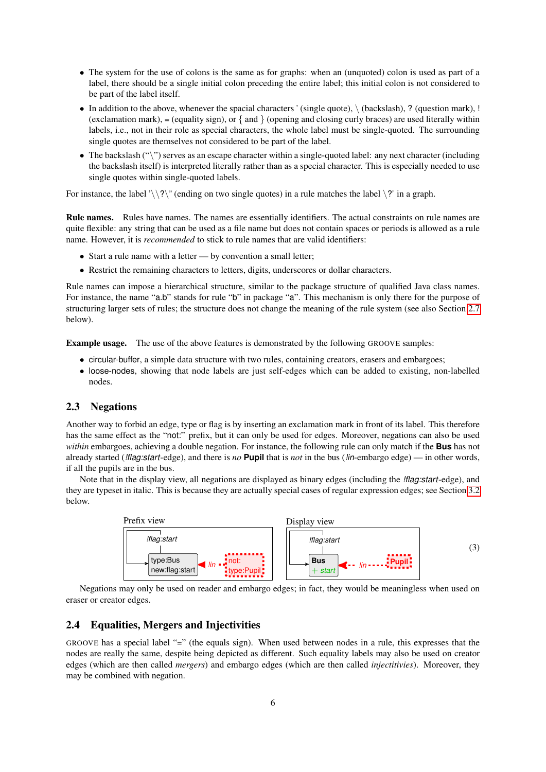- The system for the use of colons is the same as for graphs: when an (unquoted) colon is used as part of a label, there should be a single initial colon preceding the entire label; this initial colon is not considered to be part of the label itself.
- In addition to the above, whenever the spacial characters ' (single quote),  $\setminus$  (backslash), ? (question mark), ! (exclamation mark),  $=$  (equality sign), or  $\{$  and  $\}$  (opening and closing curly braces) are used literally within labels, i.e., not in their role as special characters, the whole label must be single-quoted. The surrounding single quotes are themselves not considered to be part of the label.
- The backslash  $(\lq\lq)$  serves as an escape character within a single-quoted label: any next character (including the backslash itself) is interpreted literally rather than as a special character. This is especially needed to use single quotes within single-quoted labels.

For instance, the label ' $\backslash$ ' (ending on two single quotes) in a rule matches the label  $\backslash$ ?' in a graph.

Rule names. Rules have names. The names are essentially identifiers. The actual constraints on rule names are quite flexible: any string that can be used as a file name but does not contain spaces or periods is allowed as a rule name. However, it is *recommended* to stick to rule names that are valid identifiers:

- Start a rule name with a letter by convention a small letter;
- Restrict the remaining characters to letters, digits, underscores or dollar characters.

Rule names can impose a hierarchical structure, similar to the package structure of qualified Java class names. For instance, the name "a.b" stands for rule "b" in package "a". This mechanism is only there for the purpose of structuring larger sets of rules; the structure does not change the meaning of the rule system (see also Section [2.7](#page-8-0) below).

Example usage. The use of the above features is demonstrated by the following GROOVE samples:

- circular-buffer, a simple data structure with two rules, containing creators, erasers and embargoes;
- loose-nodes, showing that node labels are just self-edges which can be added to existing, non-labelled nodes.

#### <span id="page-5-0"></span>2.3 Negations

Another way to forbid an edge, type or flag is by inserting an exclamation mark in front of its label. This therefore has the same effect as the "not:" prefix, but it can only be used for edges. Moreover, negations can also be used *within* embargoes, achieving a double negation. For instance, the following rule can only match if the **Bus** has not already started (*!flag:start*-edge), and there is *no* **Pupil** that is *not* in the bus (*!in*-embargo edge) — in other words, if all the pupils are in the bus.

Note that in the display view, all negations are displayed as binary edges (including the *!flag:start*-edge), and they are typeset in italic. This is because they are actually special cases of regular expression edges; see Section [3.2](#page-10-0) below.



Negations may only be used on reader and embargo edges; in fact, they would be meaningless when used on eraser or creator edges.

#### <span id="page-5-1"></span>2.4 Equalities, Mergers and Injectivities

GROOVE has a special label "=" (the equals sign). When used between nodes in a rule, this expresses that the nodes are really the same, despite being depicted as different. Such equality labels may also be used on creator edges (which are then called *mergers*) and embargo edges (which are then called *injectitivies*). Moreover, they may be combined with negation.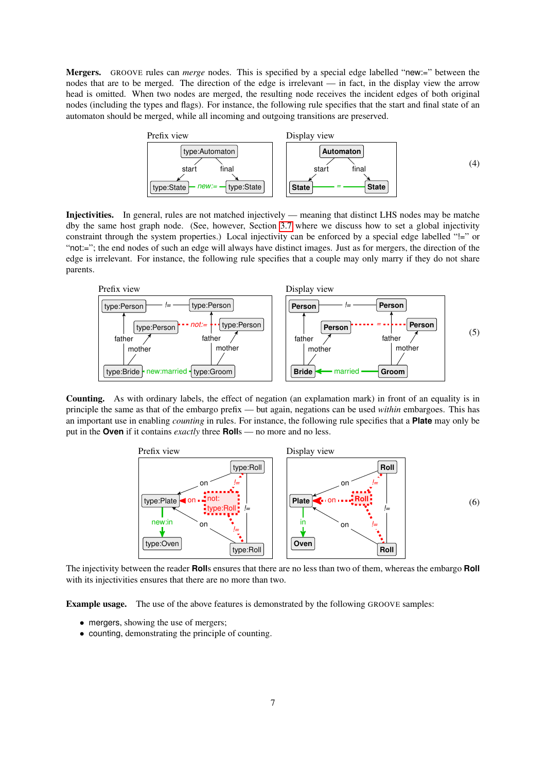Mergers. GROOVE rules can *merge* nodes. This is specified by a special edge labelled "new:=" between the nodes that are to be merged. The direction of the edge is irrelevant — in fact, in the display view the arrow head is omitted. When two nodes are merged, the resulting node receives the incident edges of both original nodes (including the types and flags). For instance, the following rule specifies that the start and final state of an automaton should be merged, while all incoming and outgoing transitions are preserved.



Injectivities. In general, rules are not matched injectively — meaning that distinct LHS nodes may be matche dby the same host graph node. (See, however, Section [3.7](#page-18-0) where we discuss how to set a global injectivity constraint through the system properties.) Local injectivity can be enforced by a special edge labelled "!=" or "not:="; the end nodes of such an edge will always have distinct images. Just as for mergers, the direction of the edge is irrelevant. For instance, the following rule specifies that a couple may only marry if they do not share parents.



Counting. As with ordinary labels, the effect of negation (an explamation mark) in front of an equality is in principle the same as that of the embargo prefix — but again, negations can be used *within* embargoes. This has an important use in enabling *counting* in rules. For instance, the following rule specifies that a **Plate** may only be put in the **Oven** if it contains *exactly* three **Roll**s — no more and no less.

<span id="page-6-0"></span>

The injectivity between the reader **Roll**s ensures that there are no less than two of them, whereas the embargo **Roll** with its injectivities ensures that there are no more than two.

Example usage. The use of the above features is demonstrated by the following GROOVE samples:

- mergers, showing the use of mergers;
- counting, demonstrating the principle of counting.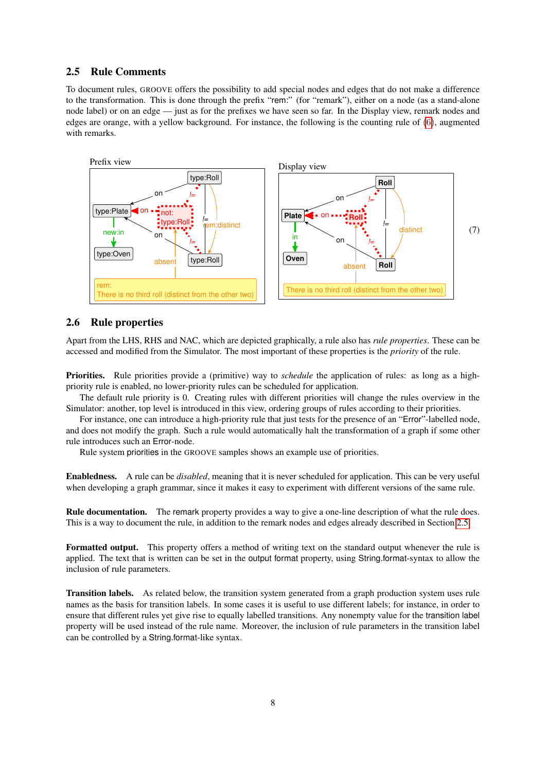### <span id="page-7-0"></span>2.5 Rule Comments

To document rules, GROOVE offers the possibility to add special nodes and edges that do not make a difference to the transformation. This is done through the prefix "rem:" (for "remark"), either on a node (as a stand-alone node label) or on an edge — just as for the prefixes we have seen so far. In the Display view, remark nodes and edges are orange, with a yellow background. For instance, the following is the counting rule of [\(6\)](#page-6-0), augmented with remarks.



### <span id="page-7-1"></span>2.6 Rule properties

Apart from the LHS, RHS and NAC, which are depicted graphically, a rule also has *rule properties*. These can be accessed and modified from the Simulator. The most important of these properties is the *priority* of the rule.

Priorities. Rule priorities provide a (primitive) way to *schedule* the application of rules: as long as a highpriority rule is enabled, no lower-priority rules can be scheduled for application.

The default rule priority is 0. Creating rules with different priorities will change the rules overview in the Simulator: another, top level is introduced in this view, ordering groups of rules according to their priorities.

For instance, one can introduce a high-priority rule that just tests for the presence of an "Error"-labelled node, and does not modify the graph. Such a rule would automatically halt the transformation of a graph if some other rule introduces such an Error-node.

Rule system priorities in the GROOVE samples shows an example use of priorities.

Enabledness. A rule can be *disabled*, meaning that it is never scheduled for application. This can be very useful when developing a graph grammar, since it makes it easy to experiment with different versions of the same rule.

Rule documentation. The remark property provides a way to give a one-line description of what the rule does. This is a way to document the rule, in addition to the remark nodes and edges already described in Section [2.5.](#page-7-0)

Formatted output. This property offers a method of writing text on the standard output whenever the rule is applied. The text that is written can be set in the output format property, using String.format-syntax to allow the inclusion of rule parameters.

Transition labels. As related below, the transition system generated from a graph production system uses rule names as the basis for transition labels. In some cases it is useful to use different labels; for instance, in order to ensure that different rules yet give rise to equally labelled transitions. Any nonempty value for the transition label property will be used instead of the rule name. Moreover, the inclusion of rule parameters in the transition label can be controlled by a String.format-like syntax.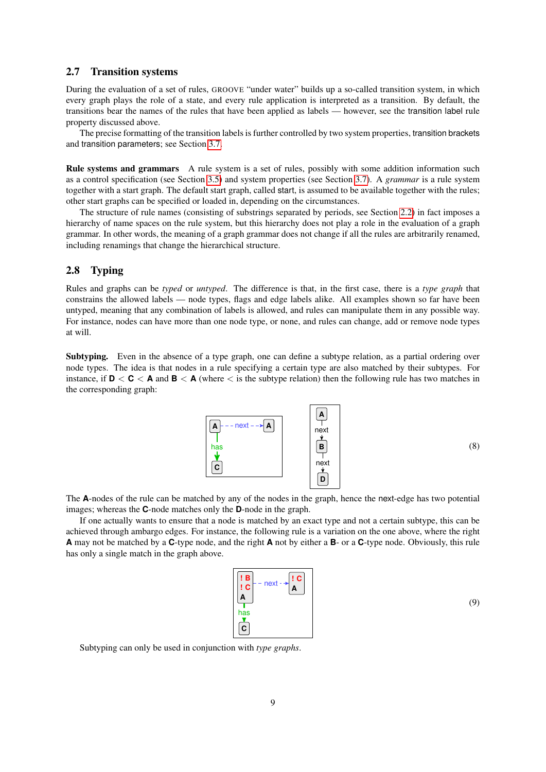#### <span id="page-8-0"></span>2.7 Transition systems

During the evaluation of a set of rules, GROOVE "under water" builds up a so-called transition system, in which every graph plays the role of a state, and every rule application is interpreted as a transition. By default, the transitions bear the names of the rules that have been applied as labels — however, see the transition label rule property discussed above.

The precise formatting of the transition labels is further controlled by two system properties, transition brackets and transition parameters; see Section [3.7.](#page-18-0)

Rule systems and grammars A rule system is a set of rules, possibly with some addition information such as a control specification (see Section [3.5\)](#page-15-0) and system properties (see Section [3.7\)](#page-18-0). A *grammar* is a rule system together with a start graph. The default start graph, called start, is assumed to be available together with the rules; other start graphs can be specified or loaded in, depending on the circumstances.

The structure of rule names (consisting of substrings separated by periods, see Section [2.2\)](#page-3-0) in fact imposes a hierarchy of name spaces on the rule system, but this hierarchy does not play a role in the evaluation of a graph grammar. In other words, the meaning of a graph grammar does not change if all the rules are arbitrarily renamed, including renamings that change the hierarchical structure.

### <span id="page-8-1"></span>2.8 Typing

Rules and graphs can be *typed* or *untyped*. The difference is that, in the first case, there is a *type graph* that constrains the allowed labels — node types, flags and edge labels alike. All examples shown so far have been untyped, meaning that any combination of labels is allowed, and rules can manipulate them in any possible way. For instance, nodes can have more than one node type, or none, and rules can change, add or remove node types at will.

Subtyping. Even in the absence of a type graph, one can define a subtype relation, as a partial ordering over node types. The idea is that nodes in a rule specifying a certain type are also matched by their subtypes. For instance, if  $D < C < A$  and  $B < A$  (where  $\lt$  is the subtype relation) then the following rule has two matches in the corresponding graph:

<span id="page-8-2"></span>

(8)

The **A**-nodes of the rule can be matched by any of the nodes in the graph, hence the next-edge has two potential images; whereas the **C**-node matches only the **D**-node in the graph.

If one actually wants to ensure that a node is matched by an exact type and not a certain subtype, this can be achieved through ambargo edges. For instance, the following rule is a variation on the one above, where the right **A** may not be matched by a **C**-type node, and the right **A** not by either a **B**- or a **C**-type node. Obviously, this rule has only a single match in the graph above.

<span id="page-8-3"></span>

(9)

Subtyping can only be used in conjunction with *type graphs*.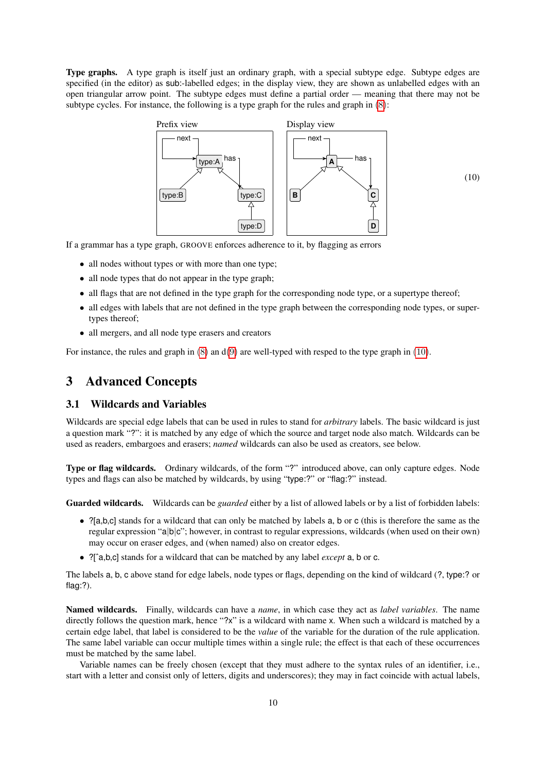Type graphs. A type graph is itself just an ordinary graph, with a special subtype edge. Subtype edges are specified (in the editor) as sub:-labelled edges; in the display view, they are shown as unlabelled edges with an open triangular arrow point. The subtype edges must define a partial order — meaning that there may not be subtype cycles. For instance, the following is a type graph for the rules and graph in [\(8\)](#page-8-2):

<span id="page-9-2"></span>

If a grammar has a type graph, GROOVE enforces adherence to it, by flagging as errors

- all nodes without types or with more than one type;
- all node types that do not appear in the type graph;
- all flags that are not defined in the type graph for the corresponding node type, or a supertype thereof;
- all edges with labels that are not defined in the type graph between the corresponding node types, or supertypes thereof;
- all mergers, and all node type erasers and creators

For instance, the rules and graph in  $(8)$  an  $d(9)$  $d(9)$  are well-typed with resped to the type graph in  $(10)$ .

# <span id="page-9-0"></span>3 Advanced Concepts

#### <span id="page-9-1"></span>3.1 Wildcards and Variables

Wildcards are special edge labels that can be used in rules to stand for *arbitrary* labels. The basic wildcard is just a question mark "?": it is matched by any edge of which the source and target node also match. Wildcards can be used as readers, embargoes and erasers; *named* wildcards can also be used as creators, see below.

Type or flag wildcards. Ordinary wildcards, of the form "?" introduced above, can only capture edges. Node types and flags can also be matched by wildcards, by using "type:?" or "flag:?" instead.

Guarded wildcards. Wildcards can be *guarded* either by a list of allowed labels or by a list of forbidden labels:

- ?[a,b,c] stands for a wildcard that can only be matched by labels a, b or c (this is therefore the same as the regular expression "a|b|c"; however, in contrast to regular expressions, wildcards (when used on their own) may occur on eraser edges, and (when named) also on creator edges.
- ?[ˆa,b,c] stands for a wildcard that can be matched by any label *except* a, b or c.

The labels a, b, c above stand for edge labels, node types or flags, depending on the kind of wildcard (?, type:? or flag:?).

Named wildcards. Finally, wildcards can have a *name*, in which case they act as *label variables*. The name directly follows the question mark, hence "?x" is a wildcard with name x. When such a wildcard is matched by a certain edge label, that label is considered to be the *value* of the variable for the duration of the rule application. The same label variable can occur multiple times within a single rule; the effect is that each of these occurrences must be matched by the same label.

Variable names can be freely chosen (except that they must adhere to the syntax rules of an identifier, i.e., start with a letter and consist only of letters, digits and underscores); they may in fact coincide with actual labels,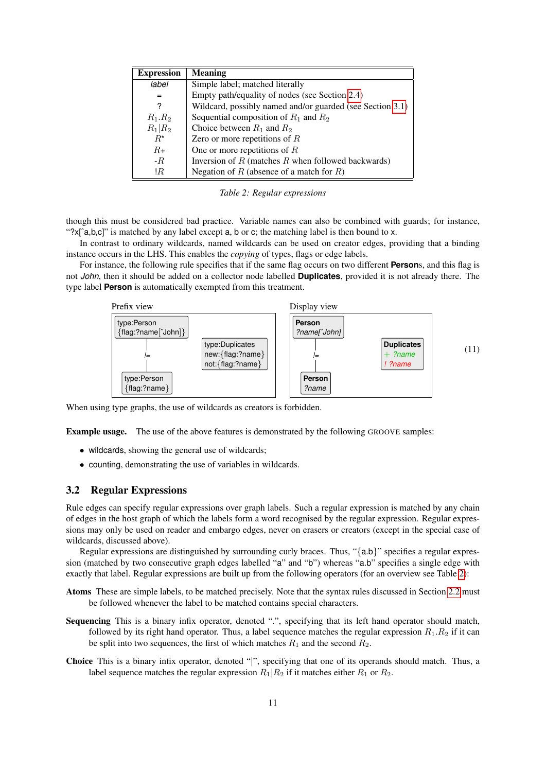| <b>Expression</b> | <b>Meaning</b>                                            |
|-------------------|-----------------------------------------------------------|
| label             | Simple label; matched literally                           |
| $=$               | Empty path/equality of nodes (see Section 2.4)            |
| ?                 | Wildcard, possibly named and/or guarded (see Section 3.1) |
| $R_1.R_2$         | Sequential composition of $R_1$ and $R_2$                 |
| $R_1 R_2$         | Choice between $R_1$ and $R_2$                            |
| $R^*$             | Zero or more repetitions of $R$                           |
| $R_{\pm}$         | One or more repetitions of $R$                            |
| $-R$              | Inversion of $R$ (matches $R$ when followed backwards)    |
| !R                | Negation of R (absence of a match for R)                  |

<span id="page-10-1"></span>*Table 2: Regular expressions*

though this must be considered bad practice. Variable names can also be combined with guards; for instance, "?x[`a,b,c]" is matched by any label except a, b or c; the matching label is then bound to x.

In contrast to ordinary wildcards, named wildcards can be used on creator edges, providing that a binding instance occurs in the LHS. This enables the *copying* of types, flags or edge labels.

For instance, the following rule specifies that if the same flag occurs on two different **Person**s, and this flag is not *John*, then it should be added on a collector node labelled **Duplicates**, provided it is not already there. The type label **Person** is automatically exempted from this treatment.



When using type graphs, the use of wildcards as creators is forbidden.

Example usage. The use of the above features is demonstrated by the following GROOVE samples:

- wildcards, showing the general use of wildcards;
- counting, demonstrating the use of variables in wildcards.

### <span id="page-10-0"></span>3.2 Regular Expressions

Rule edges can specify regular expressions over graph labels. Such a regular expression is matched by any chain of edges in the host graph of which the labels form a word recognised by the regular expression. Regular expressions may only be used on reader and embargo edges, never on erasers or creators (except in the special case of wildcards, discussed above).

Regular expressions are distinguished by surrounding curly braces. Thus, "{a.b}" specifies a regular expression (matched by two consecutive graph edges labelled "a" and "b") whereas "a.b" specifies a single edge with exactly that label. Regular expressions are built up from the following operators (for an overview see Table [2\)](#page-10-1):

- Atoms These are simple labels, to be matched precisely. Note that the syntax rules discussed in Section [2.2](#page-3-0) must be followed whenever the label to be matched contains special characters.
- Sequencing This is a binary infix operator, denoted ".", specifying that its left hand operator should match, followed by its right hand operator. Thus, a label sequence matches the regular expression  $R_1.R_2$  if it can be split into two sequences, the first of which matches  $R_1$  and the second  $R_2$ .
- Choice This is a binary infix operator, denoted "|", specifying that one of its operands should match. Thus, a label sequence matches the regular expression  $R_1|R_2$  if it matches either  $R_1$  or  $R_2$ .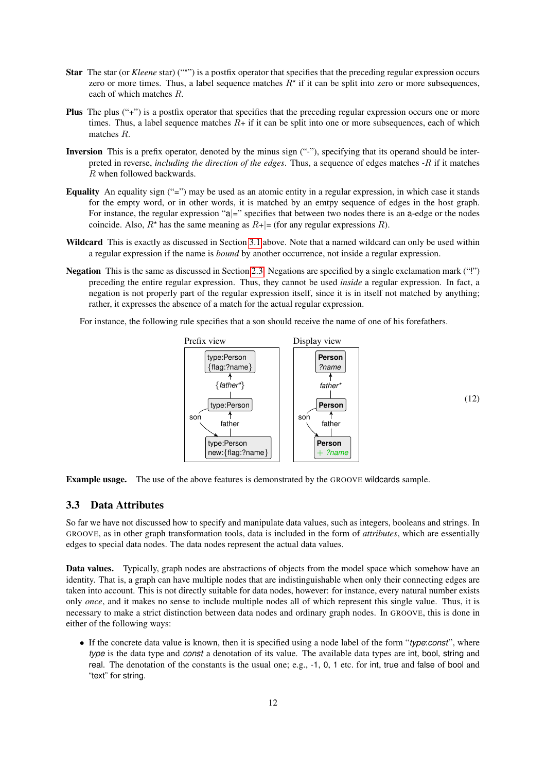- Star The star (or *Kleene* star) ("\*") is a postfix operator that specifies that the preceding regular expression occurs zero or more times. Thus, a label sequence matches  $R^*$  if it can be split into zero or more subsequences, each of which matches R.
- Plus The plus ("+") is a postfix operator that specifies that the preceding regular expression occurs one or more times. Thus, a label sequence matches  $R+$  if it can be split into one or more subsequences, each of which matches R.
- Inversion This is a prefix operator, denoted by the minus sign ("-"), specifying that its operand should be interpreted in reverse, *including the direction of the edges*. Thus, a sequence of edges matches -R if it matches R when followed backwards.
- Equality An equality sign ("=") may be used as an atomic entity in a regular expression, in which case it stands for the empty word, or in other words, it is matched by an emtpy sequence of edges in the host graph. For instance, the regular expression "a|=" specifies that between two nodes there is an a-edge or the nodes coincide. Also,  $R^*$  has the same meaning as  $R^+$  = (for any regular expressions R).
- Wildcard This is exactly as discussed in Section [3.1](#page-9-1) above. Note that a named wildcard can only be used within a regular expression if the name is *bound* by another occurrence, not inside a regular expression.
- Negation This is the same as discussed in Section [2.3.](#page-5-0) Negations are specified by a single exclamation mark ("!") preceding the entire regular expression. Thus, they cannot be used *inside* a regular expression. In fact, a negation is not properly part of the regular expression itself, since it is in itself not matched by anything; rather, it expresses the absence of a match for the actual regular expression.

For instance, the following rule specifies that a son should receive the name of one of his forefathers.



Example usage. The use of the above features is demonstrated by the GROOVE wildcards sample.

#### <span id="page-11-0"></span>3.3 Data Attributes

So far we have not discussed how to specify and manipulate data values, such as integers, booleans and strings. In GROOVE, as in other graph transformation tools, data is included in the form of *attributes*, which are essentially edges to special data nodes. The data nodes represent the actual data values.

Data values. Typically, graph nodes are abstractions of objects from the model space which somehow have an identity. That is, a graph can have multiple nodes that are indistinguishable when only their connecting edges are taken into account. This is not directly suitable for data nodes, however: for instance, every natural number exists only *once*, and it makes no sense to include multiple nodes all of which represent this single value. Thus, it is necessary to make a strict distinction between data nodes and ordinary graph nodes. In GROOVE, this is done in either of the following ways:

• If the concrete data value is known, then it is specified using a node label of the form "*type*:*const*", where *type* is the data type and *const* a denotation of its value. The available data types are int, bool, string and real. The denotation of the constants is the usual one; e.g., -1, 0, 1 etc. for int, true and false of bool and "text" for string.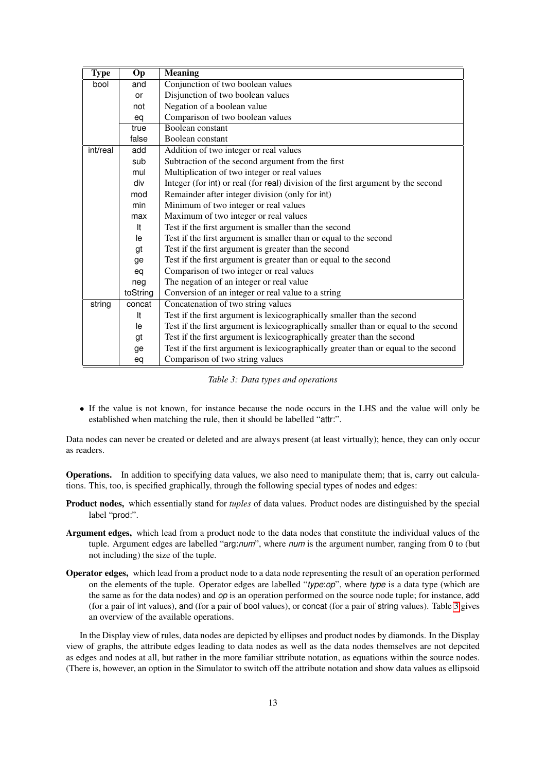| <b>Type</b> | Op       | <b>Meaning</b>                                                                      |  |  |
|-------------|----------|-------------------------------------------------------------------------------------|--|--|
| bool        | and      | Conjunction of two boolean values                                                   |  |  |
|             | or       | Disjunction of two boolean values                                                   |  |  |
|             | not      | Negation of a boolean value                                                         |  |  |
|             | eq       | Comparison of two boolean values                                                    |  |  |
|             | true     | Boolean constant                                                                    |  |  |
|             | false    | Boolean constant                                                                    |  |  |
| int/real    | add      | Addition of two integer or real values                                              |  |  |
|             | sub      | Subtraction of the second argument from the first                                   |  |  |
|             | mul      | Multiplication of two integer or real values                                        |  |  |
|             | div      | Integer (for int) or real (for real) division of the first argument by the second   |  |  |
|             | mod      | Remainder after integer division (only for int)                                     |  |  |
|             | min      | Minimum of two integer or real values                                               |  |  |
|             | max      | Maximum of two integer or real values                                               |  |  |
|             | It       | Test if the first argument is smaller than the second                               |  |  |
|             | le       | Test if the first argument is smaller than or equal to the second                   |  |  |
|             | gt       | Test if the first argument is greater than the second                               |  |  |
|             | ge       | Test if the first argument is greater than or equal to the second                   |  |  |
|             | eq       | Comparison of two integer or real values                                            |  |  |
|             | neg      | The negation of an integer or real value                                            |  |  |
|             | toString | Conversion of an integer or real value to a string                                  |  |  |
| string      | concat   | Concatenation of two string values                                                  |  |  |
|             | It       | Test if the first argument is lexicographically smaller than the second             |  |  |
|             | le       | Test if the first argument is lexicographically smaller than or equal to the second |  |  |
|             | gt       | Test if the first argument is lexicographically greater than the second             |  |  |
|             | ge       | Test if the first argument is lexicographically greater than or equal to the second |  |  |
|             | eq       | Comparison of two string values                                                     |  |  |

<span id="page-12-0"></span>*Table 3: Data types and operations*

• If the value is not known, for instance because the node occurs in the LHS and the value will only be established when matching the rule, then it should be labelled "attr:".

Data nodes can never be created or deleted and are always present (at least virtually); hence, they can only occur as readers.

Operations. In addition to specifying data values, we also need to manipulate them; that is, carry out calculations. This, too, is specified graphically, through the following special types of nodes and edges:

- Product nodes, which essentially stand for *tuples* of data values. Product nodes are distinguished by the special label "prod:".
- Argument edges, which lead from a product node to the data nodes that constitute the individual values of the tuple. Argument edges are labelled "arg:*num*", where *num* is the argument number, ranging from 0 to (but not including) the size of the tuple.
- Operator edges, which lead from a product node to a data node representing the result of an operation performed on the elements of the tuple. Operator edges are labelled "*type*:*op*", where *type* is a data type (which are the same as for the data nodes) and *op* is an operation performed on the source node tuple; for instance, add (for a pair of int values), and (for a pair of bool values), or concat (for a pair of string values). Table [3](#page-12-0) gives an overview of the available operations.

In the Display view of rules, data nodes are depicted by ellipses and product nodes by diamonds. In the Display view of graphs, the attribute edges leading to data nodes as well as the data nodes themselves are not depcited as edges and nodes at all, but rather in the more familiar sttribute notation, as equations within the source nodes. (There is, however, an option in the Simulator to switch off the attribute notation and show data values as ellipsoid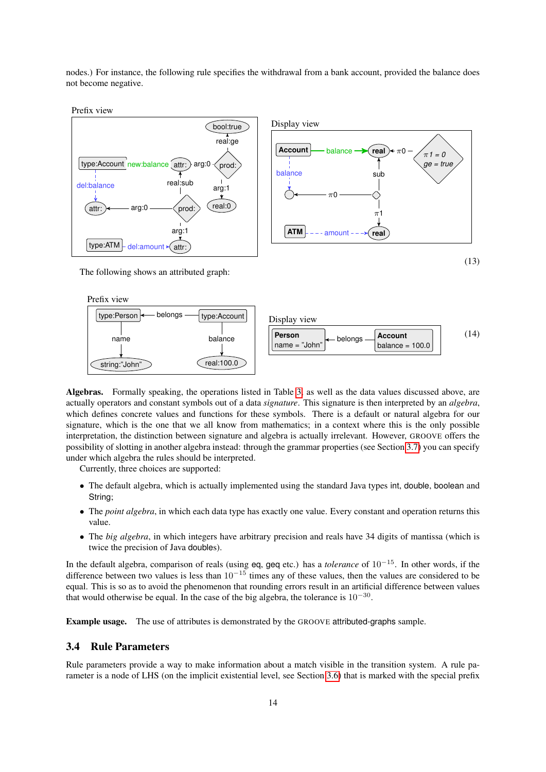nodes.) For instance, the following rule specifies the withdrawal from a bank account, provided the balance does not become negative.





Prefix view



Algebras. Formally speaking, the operations listed in Table [3,](#page-12-0) as well as the data values discussed above, are actually operators and constant symbols out of a data *signature*. This signature is then interpreted by an *algebra*, which defines concrete values and functions for these symbols. There is a default or natural algebra for our signature, which is the one that we all know from mathematics; in a context where this is the only possible interpretation, the distinction between signature and algebra is actually irrelevant. However, GROOVE offers the possibility of slotting in another algebra instead: through the grammar properties (see Section [3.7\)](#page-18-0) you can specify under which algebra the rules should be interpreted.

Currently, three choices are supported:

- The default algebra, which is actually implemented using the standard Java types int, double, boolean and String;
- The *point algebra*, in which each data type has exactly one value. Every constant and operation returns this value.
- The *big algebra*, in which integers have arbitrary precision and reals have 34 digits of mantissa (which is twice the precision of Java doubles).

In the default algebra, comparison of reals (using eq, geq etc.) has a *tolerance* of 10<sup>−</sup><sup>15</sup>. In other words, if the difference between two values is less than  $10^{-15}$  times any of these values, then the values are considered to be equal. This is so as to avoid the phenomenon that rounding errors result in an artificial difference between values that would otherwise be equal. In the case of the big algebra, the tolerance is  $10^{-30}$ .

Example usage. The use of attributes is demonstrated by the GROOVE attributed-graphs sample.

# <span id="page-13-0"></span>3.4 Rule Parameters

Rule parameters provide a way to make information about a match visible in the transition system. A rule parameter is a node of LHS (on the implicit existential level, see Section [3.6\)](#page-16-0) that is marked with the special prefix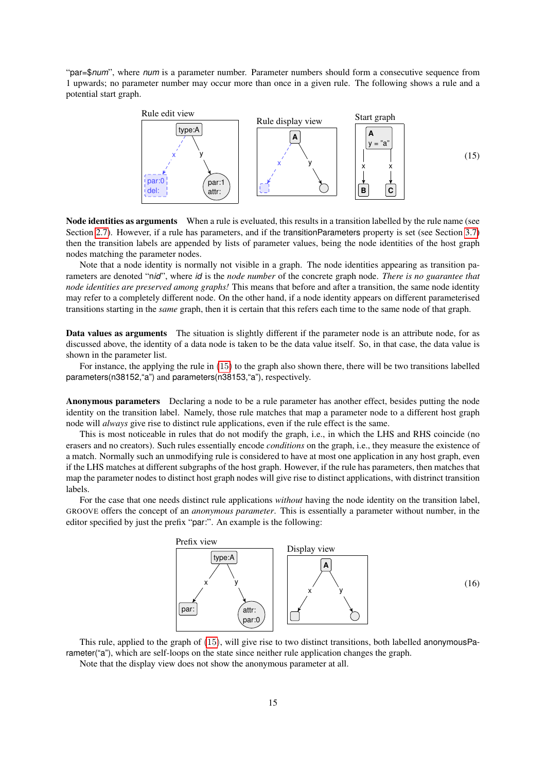"par=\$*num*", where *num* is a parameter number. Parameter numbers should form a consecutive sequence from 1 upwards; no parameter number may occur more than once in a given rule. The following shows a rule and a potential start graph.

<span id="page-14-0"></span>

Node identities as arguments When a rule is eveluated, this results in a transition labelled by the rule name (see Section [2.7\)](#page-8-0). However, if a rule has parameters, and if the transitionParameters property is set (see Section [3.7\)](#page-18-0) then the transition labels are appended by lists of parameter values, being the node identities of the host graph nodes matching the parameter nodes.

Note that a node identity is normally not visible in a graph. The node identities appearing as transition parameters are denoted "n*id*", where *id* is the *node number* of the concrete graph node. *There is no guarantee that node identities are preserved among graphs!* This means that before and after a transition, the same node identity may refer to a completely different node. On the other hand, if a node identity appears on different parameterised transitions starting in the *same* graph, then it is certain that this refers each time to the same node of that graph.

Data values as arguments The situation is slightly different if the parameter node is an attribute node, for as discussed above, the identity of a data node is taken to be the data value itself. So, in that case, the data value is shown in the parameter list.

For instance, the applying the rule in [\(15\)](#page-14-0) to the graph also shown there, there will be two transitions labelled parameters(n38152,"a") and parameters(n38153,"a"), respectively.

Anonymous parameters Declaring a node to be a rule parameter has another effect, besides putting the node identity on the transition label. Namely, those rule matches that map a parameter node to a different host graph node will *always* give rise to distinct rule applications, even if the rule effect is the same.

This is most noticeable in rules that do not modify the graph, i.e., in which the LHS and RHS coincide (no erasers and no creators). Such rules essentially encode *conditions* on the graph, i.e., they measure the existence of a match. Normally such an unmodifying rule is considered to have at most one application in any host graph, even if the LHS matches at different subgraphs of the host graph. However, if the rule has parameters, then matches that map the parameter nodes to distinct host graph nodes will give rise to distinct applications, with distrinct transition labels.

For the case that one needs distinct rule applications *without* having the node identity on the transition label, GROOVE offers the concept of an *anonymous parameter*. This is essentially a parameter without number, in the editor specified by just the prefix "par:". An example is the following:



This rule, applied to the graph of [\(15\)](#page-14-0), will give rise to two distinct transitions, both labelled anonymousParameter("a"), which are self-loops on the state since neither rule application changes the graph.

Note that the display view does not show the anonymous parameter at all.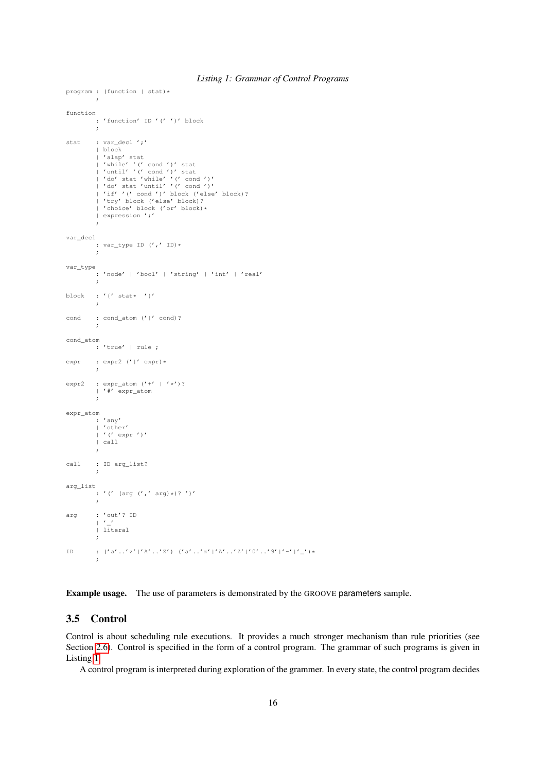```
program : (function | stat) *
         \mathbf{r}function
         : 'function' ID '(' ')' block
          ;
stat : var_decl';'
          | block
          | 'alap' stat
           | 'while' '(' cond ')' stat<br>| 'until' '(' cond ')' stat<br>| 'do' stat 'while' '(' cond ')'<br>| 'do' stat 'until' '(' cond ')'<br>| 'if' '(' cond ')' block ('else' block)?
           | 'try' block ('else' block)?
| 'choice' block ('or' block)*
           | expression ';'
           ;
var_decl
         : var_type ID (',' ID)*
         ;
var_type
          : 'node' | 'bool' | 'string' | 'int' | 'real'
          ;
block : '{' stat* '}'
          ;
cond : cond_atom ('|' cond)?
          \cdot :
cond_atom
         : 'true' | rule ;
expr : expr2 ('|' expr) *
          ;
expr2 : expr_atom ('+' | 'x')?
          | '#' expr_atom
          \mathbf{r}expr_atom
         \cdots 'any'
           | 'other'
| '(' expr ')'
          | call
         ;
call : ID arg_list?
          ;
arg_list
          \vdots '(' (arg (',' arg)*)?')'
          ;
arg : 'out'? ID
          \frac{1}{2}| literal
          ;
ID : ({a', 'z''}|A', 'z'') ({a', 'z''}|A', 'z''] ({a', 'z''}|A', 'z'']'0', 'z''];
```
#### *Listing 1: Grammar of Control Programs*

Example usage. The use of parameters is demonstrated by the GROOVE parameters sample.

# <span id="page-15-0"></span>3.5 Control

Control is about scheduling rule executions. It provides a much stronger mechanism than rule priorities (see Section [2.6\)](#page-7-1). Control is specified in the form of a control program. The grammar of such programs is given in Listing [1.](#page-15-1)

A control program is interpreted during exploration of the grammer. In every state, the control program decides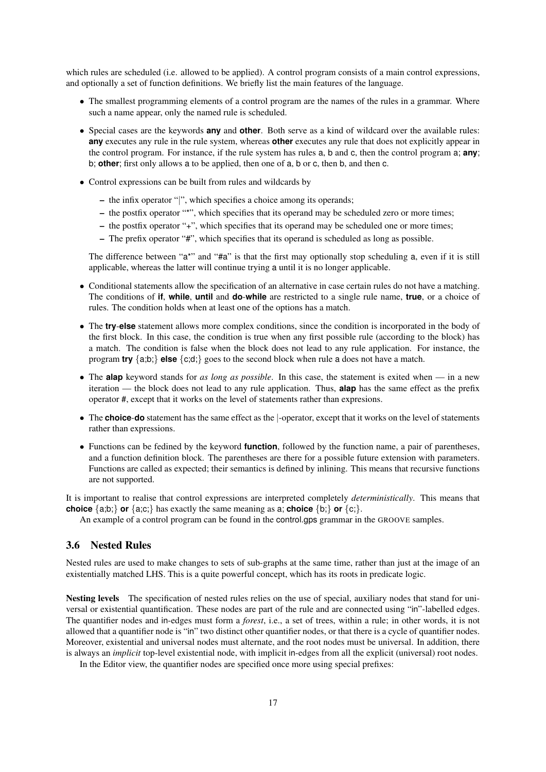which rules are scheduled (i.e. allowed to be applied). A control program consists of a main control expressions, and optionally a set of function definitions. We briefly list the main features of the language.

- The smallest programming elements of a control program are the names of the rules in a grammar. Where such a name appear, only the named rule is scheduled.
- Special cases are the keywords **any** and **other**. Both serve as a kind of wildcard over the available rules: **any** executes any rule in the rule system, whereas **other** executes any rule that does not explicitly appear in the control program. For instance, if the rule system has rules a, b and c, then the control program a; **any**; b; **other**; first only allows a to be applied, then one of a, b or c, then b, and then c.
- Control expressions can be built from rules and wildcards by
	- the infix operator "|", which specifies a choice among its operands;
	- the postfix operator "\*", which specifies that its operand may be scheduled zero or more times;
	- the postfix operator "+", which specifies that its operand may be scheduled one or more times;
	- The prefix operator "#", which specifies that its operand is scheduled as long as possible.

The difference between "a\*" and "#a" is that the first may optionally stop scheduling a, even if it is still applicable, whereas the latter will continue trying a until it is no longer applicable.

- Conditional statements allow the specification of an alternative in case certain rules do not have a matching. The conditions of **if**, **while**, **until** and **do**-**while** are restricted to a single rule name, **true**, or a choice of rules. The condition holds when at least one of the options has a match.
- The **try**-**else** statement allows more complex conditions, since the condition is incorporated in the body of the first block. In this case, the condition is true when any first possible rule (according to the block) has a match. The condition is false when the block does not lead to any rule application. For instance, the program **try** {a;b;} **else** {c;d;} goes to the second block when rule a does not have a match.
- The **alap** keyword stands for *as long as possible*. In this case, the statement is exited when in a new iteration — the block does not lead to any rule application. Thus, **alap** has the same effect as the prefix operator #, except that it works on the level of statements rather than expresions.
- The **choice**-**do** statement has the same effect as the |-operator, except that it works on the level of statements rather than expressions.
- Functions can be fedined by the keyword **function**, followed by the function name, a pair of parentheses, and a function definition block. The parentheses are there for a possible future extension with parameters. Functions are called as expected; their semantics is defined by inlining. This means that recursive functions are not supported.

It is important to realise that control expressions are interpreted completely *deterministically*. This means that **choice**  $\{a;b;\}$  **or**  $\{a;c;\}$  has exactly the same meaning as a; **choice**  $\{b;\}$  **or**  $\{c;\}$ .

An example of a control program can be found in the control.gps grammar in the GROOVE samples.

## <span id="page-16-0"></span>3.6 Nested Rules

Nested rules are used to make changes to sets of sub-graphs at the same time, rather than just at the image of an existentially matched LHS. This is a quite powerful concept, which has its roots in predicate logic.

Nesting levels The specification of nested rules relies on the use of special, auxiliary nodes that stand for universal or existential quantification. These nodes are part of the rule and are connected using "in"-labelled edges. The quantifier nodes and in-edges must form a *forest*, i.e., a set of trees, within a rule; in other words, it is not allowed that a quantifier node is "in" two distinct other quantifier nodes, or that there is a cycle of quantifier nodes. Moreover, existential and universal nodes must alternate, and the root nodes must be universal. In addition, there is always an *implicit* top-level existential node, with implicit in-edges from all the explicit (universal) root nodes.

In the Editor view, the quantifier nodes are specified once more using special prefixes: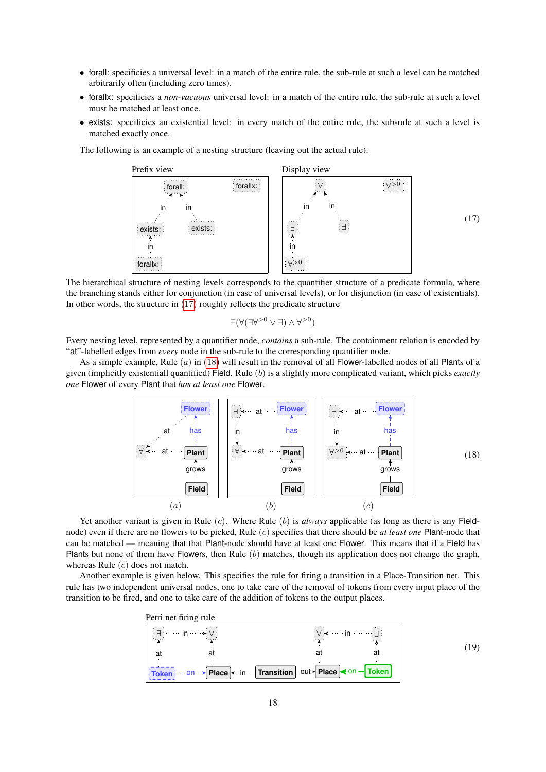- forall: specificies a universal level: in a match of the entire rule, the sub-rule at such a level can be matched arbitrarily often (including zero times).
- forallx: specificies a *non-vacuous* universal level: in a match of the entire rule, the sub-rule at such a level must be matched at least once.
- exists: specificies an existential level: in every match of the entire rule, the sub-rule at such a level is matched exactly once.

The following is an example of a nesting structure (leaving out the actual rule).

<span id="page-17-0"></span>

The hierarchical structure of nesting levels corresponds to the quantifier structure of a predicate formula, where the branching stands either for conjunction (in case of universal levels), or for disjunction (in case of existentials). In other words, the structure in  $(17)$  roughly reflects the predicate structure

$$
\exists (\forall (\exists \forall^{>0} \land \exists) \lor \forall^{>0})
$$

Every nesting level, represented by a quantifier node, *contains* a sub-rule. The containment relation is encoded by "at"-labelled edges from *every* node in the sub-rule to the corresponding quantifier node.

As a simple example, Rule  $(a)$  in [\(18\)](#page-17-1) will result in the removal of all Flower-labelled nodes of all Plants of a given (implicitly existentiall quantified) Field. Rule (b) is a slightly more complicated variant, which picks *exactly one* Flower of every Plant that *has at least one* Flower.

<span id="page-17-1"></span>

Yet another variant is given in Rule (c). Where Rule (b) is *always* applicable (as long as there is any Fieldnode) even if there are no flowers to be picked, Rule (c) specifies that there should be *at least one* Plant-node that can be matched — meaning that that Plant-node should have at least one Flower. This means that if a Field has Plants but none of them have Flowers, then Rule  $(b)$  matches, though its application does not change the graph, whereas Rule  $(c)$  does not match.

Another example is given below. This specifies the rule for firing a transition in a Place-Transition net. This rule has two independent universal nodes, one to take care of the removal of tokens from every input place of the transition to be fired, and one to take care of the addition of tokens to the output places.

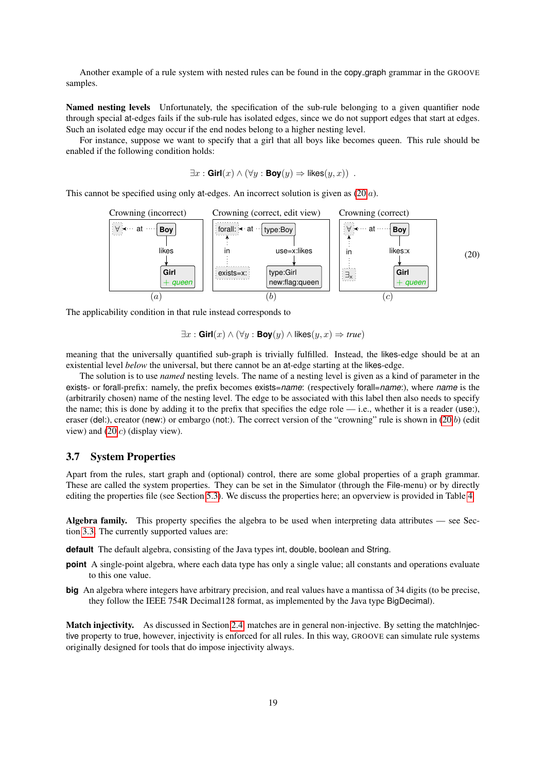Another example of a rule system with nested rules can be found in the copy graph grammar in the GROOVE samples.

Named nesting levels Unfortunately, the specification of the sub-rule belonging to a given quantifier node through special at-edges fails if the sub-rule has isolated edges, since we do not support edges that start at edges. Such an isolated edge may occur if the end nodes belong to a higher nesting level.

For instance, suppose we want to specify that a girl that all boys like becomes queen. This rule should be enabled if the following condition holds:

$$
\exists x : \mathsf{Girl}(x) \land (\forall y : \mathsf{Boy}(y) \Rightarrow \mathsf{likes}(y, x)) .
$$

This cannot be specified using only at-edges. An incorrect solution is given as [\(20.](#page-18-1)a).

<span id="page-18-1"></span>

The applicability condition in that rule instead corresponds to

$$
\exists x : \mathbf{Girl}(x) \land (\forall y : \mathbf{Boy}(y) \land \mathsf{likes}(y, x) \Rightarrow true)
$$

meaning that the universally quantified sub-graph is trivially fulfilled. Instead, the likes-edge should be at an existential level *below* the universal, but there cannot be an at-edge starting at the likes-edge.

The solution is to use *named* nesting levels. The name of a nesting level is given as a kind of parameter in the exists- or forall-prefix: namely, the prefix becomes exists=*name*: (respectively forall=*name*:), where *name* is the (arbitrarily chosen) name of the nesting level. The edge to be associated with this label then also needs to specify the name; this is done by adding it to the prefix that specifies the edge role — i.e., whether it is a reader (use:), eraser (del:), creator (new:) or embargo (not:). The correct version of the "crowning" rule is shown in [\(20.](#page-18-1)b) (edit view) and [\(20.](#page-18-1)c) (display view).

#### <span id="page-18-0"></span>3.7 System Properties

Apart from the rules, start graph and (optional) control, there are some global properties of a graph grammar. These are called the system properties. They can be set in the Simulator (through the File-menu) or by directly editing the properties file (see Section [5.3\)](#page-22-1). We discuss the properties here; an opverview is provided in Table [4.](#page-19-0)

Algebra family. This property specifies the algebra to be used when interpreting data attributes — see Section [3.3.](#page-11-0) The currently supported values are:

**default** The default algebra, consisting of the Java types int, double, boolean and String.

- **point** A single-point algebra, where each data type has only a single value; all constants and operations evaluate to this one value.
- **big** An algebra where integers have arbitrary precision, and real values have a mantissa of 34 digits (to be precise, they follow the IEEE 754R Decimal128 format, as implemented by the Java type BigDecimal).

Match injectivity. As discussed in Section [2.4,](#page-5-1) matches are in general non-injective. By setting the matchInjective property to true, however, injectivity is enforced for all rules. In this way, GROOVE can simulate rule systems originally designed for tools that do impose injectivity always.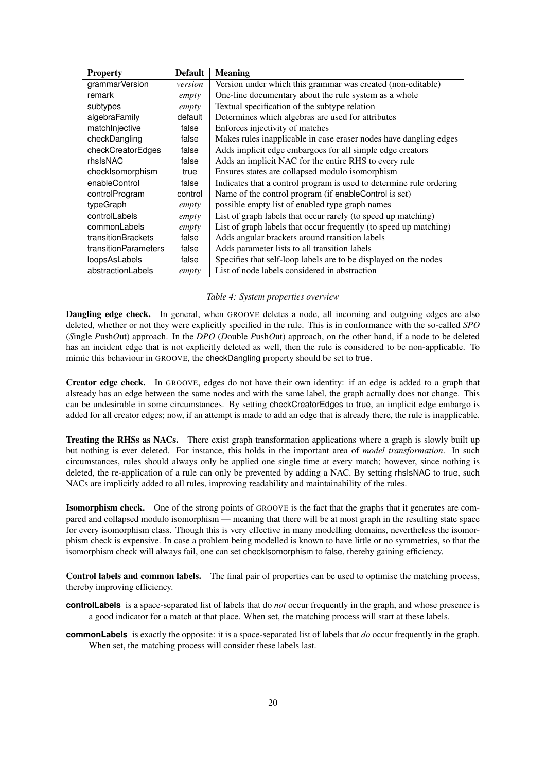| <b>Property</b>             | <b>Default</b> | <b>Meaning</b>                                                      |
|-----------------------------|----------------|---------------------------------------------------------------------|
| grammarVersion              | version        | Version under which this grammar was created (non-editable)         |
| remark                      | empty          | One-line documentary about the rule system as a whole               |
| subtypes                    | empty          | Textual specification of the subtype relation                       |
| algebraFamily               | default        | Determines which algebras are used for attributes                   |
| matchInjective              | false          | Enforces injectivity of matches                                     |
| checkDangling               | false          | Makes rules inapplicable in case eraser nodes have dangling edges   |
| checkCreatorEdges           | false          | Adds implicit edge embargoes for all simple edge creators           |
| rhsIsNAC                    | false          | Adds an implicit NAC for the entire RHS to every rule               |
| checkIsomorphism            | true           | Ensures states are collapsed modulo isomorphism                     |
| enableControl               | false          | Indicates that a control program is used to determine rule ordering |
| controlProgram              | control        | Name of the control program (if enableControl is set)               |
| typeGraph                   | empty          | possible empty list of enabled type graph names                     |
| controlLabels               | empty          | List of graph labels that occur rarely (to speed up matching)       |
| commonLabels                | empty          | List of graph labels that occur frequently (to speed up matching)   |
| transitionBrackets          | false          | Adds angular brackets around transition labels                      |
| <b>transitionParameters</b> | false          | Adds parameter lists to all transition labels                       |
| loopsAsLabels               | false          | Specifies that self-loop labels are to be displayed on the nodes    |
| abstractionLabels           | empty          | List of node labels considered in abstraction                       |

#### <span id="page-19-0"></span>*Table 4: System properties overview*

Dangling edge check. In general, when GROOVE deletes a node, all incoming and outgoing edges are also deleted, whether or not they were explicitly specified in the rule. This is in conformance with the so-called *SPO* (*S*ingle *P*ush*O*ut) approach. In the *DPO* (*D*ouble *P*ush*O*ut) approach, on the other hand, if a node to be deleted has an incident edge that is not explicitly deleted as well, then the rule is considered to be non-applicable. To mimic this behaviour in GROOVE, the checkDangling property should be set to true.

Creator edge check. In GROOVE, edges do not have their own identity: if an edge is added to a graph that alsready has an edge between the same nodes and with the same label, the graph actually does not change. This can be undesirable in some circumstances. By setting checkCreatorEdges to true, an implicit edge embargo is added for all creator edges; now, if an attempt is made to add an edge that is already there, the rule is inapplicable.

Treating the RHSs as NACs. There exist graph transformation applications where a graph is slowly built up but nothing is ever deleted. For instance, this holds in the important area of *model transformation*. In such circumstances, rules should always only be applied one single time at every match; however, since nothing is deleted, the re-application of a rule can only be prevented by adding a NAC. By setting rhsIsNAC to true, such NACs are implicitly added to all rules, improving readability and maintainability of the rules.

Isomorphism check. One of the strong points of GROOVE is the fact that the graphs that it generates are compared and collapsed modulo isomorphism — meaning that there will be at most graph in the resulting state space for every isomorphism class. Though this is very effective in many modelling domains, nevertheless the isomorphism check is expensive. In case a problem being modelled is known to have little or no symmetries, so that the isomorphism check will always fail, one can set checkIsomorphism to false, thereby gaining efficiency.

Control labels and common labels. The final pair of properties can be used to optimise the matching process, thereby improving efficiency.

- **controlLabels** is a space-separated list of labels that do *not* occur frequently in the graph, and whose presence is a good indicator for a match at that place. When set, the matching process will start at these labels.
- **commonLabels** is exactly the opposite: it is a space-separated list of labels that *do* occur frequently in the graph. When set, the matching process will consider these labels last.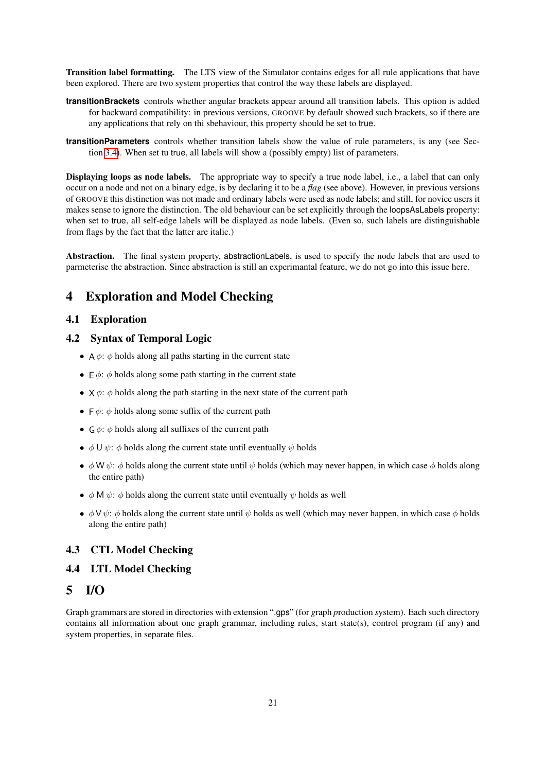Transition label formatting. The LTS view of the Simulator contains edges for all rule applications that have been explored. There are two system properties that control the way these labels are displayed.

- **transitionBrackets** controls whether angular brackets appear around all transition labels. This option is added for backward compatibility: in previous versions, GROOVE by default showed such brackets, so if there are any applications that rely on thi sbehaviour, this property should be set to true.
- **transitionParameters** controls whether transition labels show the value of rule parameters, is any (see Section [3.4\)](#page-13-0). When set tu true, all labels will show a (possibly empty) list of parameters.

Displaying loops as node labels. The appropriate way to specify a true node label, i.e., a label that can only occur on a node and not on a binary edge, is by declaring it to be a *flag* (see above). However, in previous versions of GROOVE this distinction was not made and ordinary labels were used as node labels; and still, for novice users it makes sense to ignore the distinction. The old behaviour can be set explicitly through the loopsAsLabels property: when set to true, all self-edge labels will be displayed as node labels. (Even so, such labels are distinguishable from flags by the fact that the latter are italic.)

Abstraction. The final system property, abstractionLabels, is used to specify the node labels that are used to parmeterise the abstraction. Since abstraction is still an experimantal feature, we do not go into this issue here.

# <span id="page-20-0"></span>4 Exploration and Model Checking

### <span id="page-20-1"></span>4.1 Exploration

## <span id="page-20-2"></span>4.2 Syntax of Temporal Logic

- A  $\phi$ :  $\phi$  holds along all paths starting in the current state
- $\in \phi$ :  $\phi$  holds along some path starting in the current state
- $\times \phi$ :  $\phi$  holds along the path starting in the next state of the current path
- $\vdash \phi$ :  $\phi$  holds along some suffix of the current path
- $\theta \phi$ :  $\phi$  holds along all suffixes of the current path
- $\phi \cup \psi$ :  $\phi$  holds along the current state until eventually  $\psi$  holds
- $\phi \text{W } \psi$ :  $\phi$  holds along the current state until  $\psi$  holds (which may never happen, in which case  $\phi$  holds along the entire path)
- $\phi$  M  $\psi$ :  $\phi$  holds along the current state until eventually  $\psi$  holds as well
- $\phi \vee \psi$ :  $\phi$  holds along the current state until  $\psi$  holds as well (which may never happen, in which case  $\phi$  holds along the entire path)

#### <span id="page-20-3"></span>4.3 CTL Model Checking

## <span id="page-20-4"></span>4.4 LTL Model Checking

# <span id="page-20-5"></span>5 I/O

Graph grammars are stored in directories with extension ".gps" (for *g*raph *p*roduction *s*ystem). Each such directory contains all information about one graph grammar, including rules, start state(s), control program (if any) and system properties, in separate files.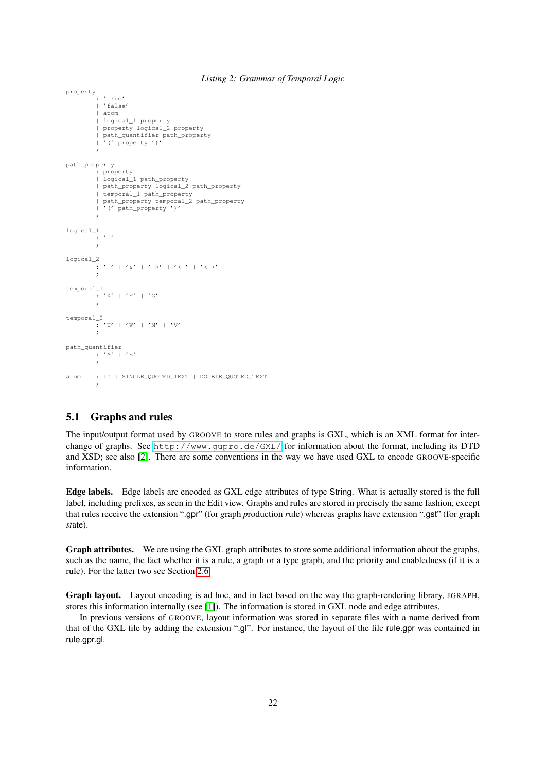#### *Listing 2: Grammar of Temporal Logic*

```
property
: 'true'
          | 'false'
          | atom
          | logical_1 property
          | property logical_2 property
          | path_quantifier path_property
| '(' property ')'
          ;
path_property
          : property
| logical_1 path_property
          | path_property logical_2 path_property
          | temporal_1 path_property
| path_property temporal_2 path_property
            | '(' path_property ')'
          ;
logical_1
          \frac{1}{2} '!'
         ;
logical_2
         ___<br>_ : ' | ' | ' &' | ' ->' | ' <-' | ' <->'
          ;
temporal_1
        : 'X' | 'F' | 'G'
          ;
temporal_2
        ----<br>* * * U' | 'W' | 'M' | 'V'
         ;
path_quantifier
: 'A' | 'E'
         \cdot ;
atom : ID | SINGLE_QUOTED_TEXT | DOUBLE_QUOTED_TEXT
         ;
```
# <span id="page-21-0"></span>5.1 Graphs and rules

The input/output format used by GROOVE to store rules and graphs is GXL, which is an XML format for interchange of graphs. See <http://www.gupro.de/GXL/> for information about the format, including its DTD and XSD; see also [\[2\]](#page-22-2). There are some conventions in the way we have used GXL to encode GROOVE-specific information.

Edge labels. Edge labels are encoded as GXL edge attributes of type String. What is actually stored is the full label, including prefixes, as seen in the Edit view. Graphs and rules are stored in precisely the same fashion, except that rules receive the extension ".gpr" (for *g*raph *p*roduction *r*ule) whereas graphs have extension ".gst" (for *g*raph *st*ate).

Graph attributes. We are using the GXL graph attributes to store some additional information about the graphs, such as the name, the fact whether it is a rule, a graph or a type graph, and the priority and enabledness (if it is a rule). For the latter two see Section [2.6.](#page-7-1)

Graph layout. Layout encoding is ad hoc, and in fact based on the way the graph-rendering library, JGRAPH, stores this information internally (see [\[1\]](#page-22-3)). The information is stored in GXL node and edge attributes.

In previous versions of GROOVE, layout information was stored in separate files with a name derived from that of the GXL file by adding the extension ".gl". For instance, the layout of the file rule.gpr was contained in rule.gpr.gl.